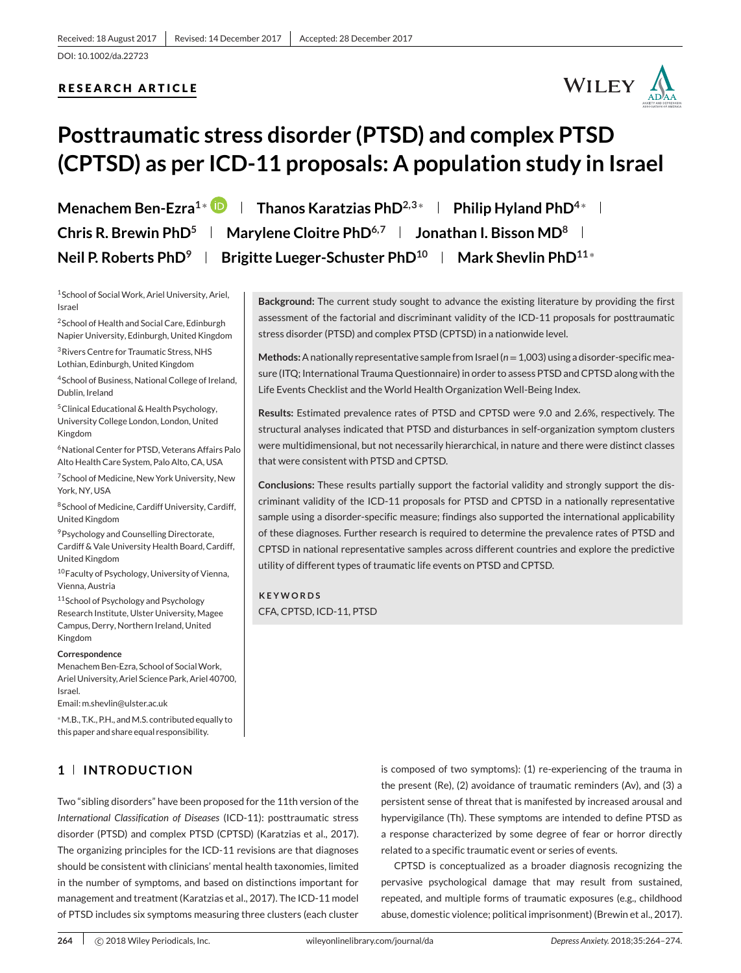## **RESEARCH ARTICLE**



# **Posttraumatic stress disorder (PTSD) and complex PTSD (CPTSD) as per ICD-11 proposals: A population study in Israel**

**Menachem Ben-Ezra<sup>1∗</sup> D | Thanos Karatzias PhD<sup>2,3</sup><sup>∗</sup> | Philip Hyland PhD<sup>4</sup><sup>∗</sup> | Chris R. Brewin PhD<sup>5</sup> | Marylene Cloitre PhD<sup>6,7</sup> | Jonathan I. Bisson MD<sup>8</sup> | Neil P. Roberts PhD<sup>9</sup> | Brigitte Lueger-Schuster PhD<sup>10</sup> | Mark Shevlin PhD<sup>11</sup><sup>∗</sup>** 

<sup>1</sup> School of Social Work, Ariel University, Ariel, Israel

2School of Health and Social Care, Edinburgh Napier University, Edinburgh, United Kingdom

3Rivers Centre for Traumatic Stress, NHS Lothian, Edinburgh, United Kingdom

4School of Business, National College of Ireland, Dublin, Ireland

5Clinical Educational & Health Psychology, University College London, London, United Kingdom

6National Center for PTSD, Veterans Affairs Palo Alto Health Care System, Palo Alto, CA, USA

7School of Medicine, New York University, New York, NY, USA

8School of Medicine, Cardiff University, Cardiff, United Kingdom

9Psychology and Counselling Directorate, Cardiff & Vale University Health Board, Cardiff, United Kingdom

10 Faculty of Psychology, University of Vienna, Vienna, Austria

11 School of Psychology and Psychology Research Institute, Ulster University, Magee Campus, Derry, Northern Ireland, United Kingdom

#### **Correspondence**

Menachem Ben-Ezra, School of Social Work, Ariel University, Ariel Science Park, Ariel 40700, Israel.

Email: m.shevlin@ulster.ac.uk

<sup>∗</sup>M.B., T.K., P.H., andM.S. contributed equally to this paper and share equal responsibility.

## **1 INTRODUCTION**

Two "sibling disorders" have been proposed for the 11th version of the *International Classification of Diseases* (ICD-11): posttraumatic stress disorder (PTSD) and complex PTSD (CPTSD) (Karatzias et al., 2017). The organizing principles for the ICD-11 revisions are that diagnoses should be consistent with clinicians' mental health taxonomies, limited in the number of symptoms, and based on distinctions important for management and treatment (Karatzias et al., 2017). The ICD-11 model of PTSD includes six symptoms measuring three clusters (each cluster

**Background:** The current study sought to advance the existing literature by providing the first assessment of the factorial and discriminant validity of the ICD-11 proposals for posttraumatic stress disorder (PTSD) and complex PTSD (CPTSD) in a nationwide level.

**Methods:**A nationally representative sample from Israel (*n*=1,003) using a disorder-specific measure (ITQ; International Trauma Questionnaire) in order to assess PTSD and CPTSD along with the Life Events Checklist and the World Health Organization Well-Being Index.

**Results:** Estimated prevalence rates of PTSD and CPTSD were 9.0 and 2.6%, respectively. The structural analyses indicated that PTSD and disturbances in self-organization symptom clusters were multidimensional, but not necessarily hierarchical, in nature and there were distinct classes that were consistent with PTSD and CPTSD.

**Conclusions:** These results partially support the factorial validity and strongly support the discriminant validity of the ICD-11 proposals for PTSD and CPTSD in a nationally representative sample using a disorder-specific measure; findings also supported the international applicability of these diagnoses. Further research is required to determine the prevalence rates of PTSD and CPTSD in national representative samples across different countries and explore the predictive utility of different types of traumatic life events on PTSD and CPTSD.

**KEYWORDS** CFA, CPTSD, ICD-11, PTSD

> is composed of two symptoms): (1) re-experiencing of the trauma in the present (Re), (2) avoidance of traumatic reminders (Av), and (3) a persistent sense of threat that is manifested by increased arousal and hypervigilance (Th). These symptoms are intended to define PTSD as a response characterized by some degree of fear or horror directly related to a specific traumatic event or series of events.

> CPTSD is conceptualized as a broader diagnosis recognizing the pervasive psychological damage that may result from sustained, repeated, and multiple forms of traumatic exposures (e.g., childhood abuse, domestic violence; political imprisonment) (Brewin et al., 2017).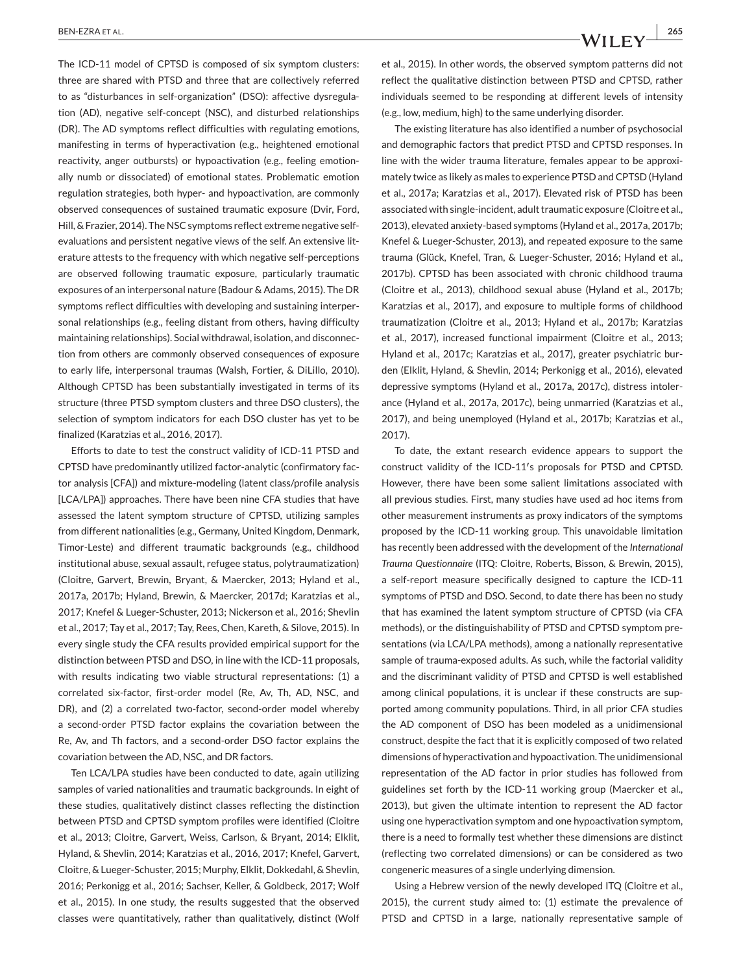The ICD-11 model of CPTSD is composed of six symptom clusters: three are shared with PTSD and three that are collectively referred to as "disturbances in self-organization" (DSO): affective dysregulation (AD), negative self-concept (NSC), and disturbed relationships (DR). The AD symptoms reflect difficulties with regulating emotions, manifesting in terms of hyperactivation (e.g., heightened emotional reactivity, anger outbursts) or hypoactivation (e.g., feeling emotionally numb or dissociated) of emotional states. Problematic emotion regulation strategies, both hyper- and hypoactivation, are commonly observed consequences of sustained traumatic exposure (Dvir, Ford, Hill, & Frazier, 2014). The NSC symptoms reflect extreme negative selfevaluations and persistent negative views of the self. An extensive literature attests to the frequency with which negative self-perceptions are observed following traumatic exposure, particularly traumatic exposures of an interpersonal nature (Badour & Adams, 2015). The DR symptoms reflect difficulties with developing and sustaining interpersonal relationships (e.g., feeling distant from others, having difficulty maintaining relationships). Social withdrawal, isolation, and disconnection from others are commonly observed consequences of exposure to early life, interpersonal traumas (Walsh, Fortier, & DiLillo, 2010). Although CPTSD has been substantially investigated in terms of its structure (three PTSD symptom clusters and three DSO clusters), the selection of symptom indicators for each DSO cluster has yet to be finalized (Karatzias et al., 2016, 2017).

Efforts to date to test the construct validity of ICD-11 PTSD and CPTSD have predominantly utilized factor-analytic (confirmatory factor analysis [CFA]) and mixture-modeling (latent class/profile analysis [LCA/LPA]) approaches. There have been nine CFA studies that have assessed the latent symptom structure of CPTSD, utilizing samples from different nationalities (e.g., Germany, United Kingdom, Denmark, Timor-Leste) and different traumatic backgrounds (e.g., childhood institutional abuse, sexual assault, refugee status, polytraumatization) (Cloitre, Garvert, Brewin, Bryant, & Maercker, 2013; Hyland et al., 2017a, 2017b; Hyland, Brewin, & Maercker, 2017d; Karatzias et al., 2017; Knefel & Lueger-Schuster, 2013; Nickerson et al., 2016; Shevlin et al., 2017; Tay et al., 2017; Tay, Rees, Chen, Kareth, & Silove, 2015). In every single study the CFA results provided empirical support for the distinction between PTSD and DSO, in line with the ICD-11 proposals, with results indicating two viable structural representations: (1) a correlated six-factor, first-order model (Re, Av, Th, AD, NSC, and DR), and (2) a correlated two-factor, second-order model whereby a second-order PTSD factor explains the covariation between the Re, Av, and Th factors, and a second-order DSO factor explains the covariation between the AD, NSC, and DR factors.

Ten LCA/LPA studies have been conducted to date, again utilizing samples of varied nationalities and traumatic backgrounds. In eight of these studies, qualitatively distinct classes reflecting the distinction between PTSD and CPTSD symptom profiles were identified (Cloitre et al., 2013; Cloitre, Garvert, Weiss, Carlson, & Bryant, 2014; Elklit, Hyland, & Shevlin, 2014; Karatzias et al., 2016, 2017; Knefel, Garvert, Cloitre, & Lueger-Schuster, 2015; Murphy, Elklit, Dokkedahl, & Shevlin, 2016; Perkonigg et al., 2016; Sachser, Keller, & Goldbeck, 2017; Wolf et al., 2015). In one study, the results suggested that the observed classes were quantitatively, rather than qualitatively, distinct (Wolf et al., 2015). In other words, the observed symptom patterns did not reflect the qualitative distinction between PTSD and CPTSD, rather individuals seemed to be responding at different levels of intensity (e.g., low, medium, high) to the same underlying disorder.

The existing literature has also identified a number of psychosocial and demographic factors that predict PTSD and CPTSD responses. In line with the wider trauma literature, females appear to be approximately twice as likely as males to experience PTSD and CPTSD (Hyland et al., 2017a; Karatzias et al., 2017). Elevated risk of PTSD has been associated with single-incident, adult traumatic exposure (Cloitre et al., 2013), elevated anxiety-based symptoms (Hyland et al., 2017a, 2017b; Knefel & Lueger-Schuster, 2013), and repeated exposure to the same trauma (Glück, Knefel, Tran, & Lueger-Schuster, 2016; Hyland et al., 2017b). CPTSD has been associated with chronic childhood trauma (Cloitre et al., 2013), childhood sexual abuse (Hyland et al., 2017b; Karatzias et al., 2017), and exposure to multiple forms of childhood traumatization (Cloitre et al., 2013; Hyland et al., 2017b; Karatzias et al., 2017), increased functional impairment (Cloitre et al., 2013; Hyland et al., 2017c; Karatzias et al., 2017), greater psychiatric burden (Elklit, Hyland, & Shevlin, 2014; Perkonigg et al., 2016), elevated depressive symptoms (Hyland et al., 2017a, 2017c), distress intolerance (Hyland et al., 2017a, 2017c), being unmarried (Karatzias et al., 2017), and being unemployed (Hyland et al., 2017b; Karatzias et al., 2017).

To date, the extant research evidence appears to support the construct validity of the ICD-11′ s proposals for PTSD and CPTSD. However, there have been some salient limitations associated with all previous studies. First, many studies have used ad hoc items from other measurement instruments as proxy indicators of the symptoms proposed by the ICD-11 working group. This unavoidable limitation has recently been addressed with the development of the *International Trauma Questionnaire* (ITQ: Cloitre, Roberts, Bisson, & Brewin, 2015), a self-report measure specifically designed to capture the ICD-11 symptoms of PTSD and DSO. Second, to date there has been no study that has examined the latent symptom structure of CPTSD (via CFA methods), or the distinguishability of PTSD and CPTSD symptom presentations (via LCA/LPA methods), among a nationally representative sample of trauma-exposed adults. As such, while the factorial validity and the discriminant validity of PTSD and CPTSD is well established among clinical populations, it is unclear if these constructs are supported among community populations. Third, in all prior CFA studies the AD component of DSO has been modeled as a unidimensional construct, despite the fact that it is explicitly composed of two related dimensions of hyperactivation and hypoactivation. The unidimensional representation of the AD factor in prior studies has followed from guidelines set forth by the ICD-11 working group (Maercker et al., 2013), but given the ultimate intention to represent the AD factor using one hyperactivation symptom and one hypoactivation symptom, there is a need to formally test whether these dimensions are distinct (reflecting two correlated dimensions) or can be considered as two congeneric measures of a single underlying dimension.

Using a Hebrew version of the newly developed ITQ (Cloitre et al., 2015), the current study aimed to: (1) estimate the prevalence of PTSD and CPTSD in a large, nationally representative sample of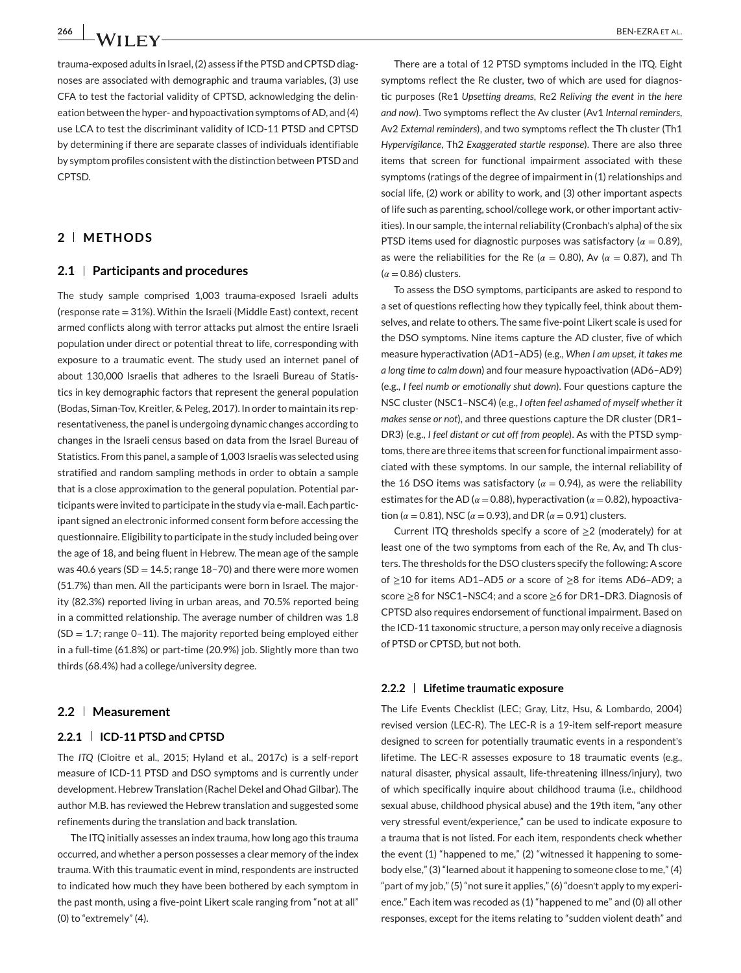trauma-exposed adults in Israel, (2) assess if the PTSD and CPTSD diagnoses are associated with demographic and trauma variables, (3) use CFA to test the factorial validity of CPTSD, acknowledging the delineation between the hyper- and hypoactivation symptoms of AD, and (4) use LCA to test the discriminant validity of ICD-11 PTSD and CPTSD by determining if there are separate classes of individuals identifiable by symptom profiles consistent with the distinction between PTSD and CPTSD.

## **2 METHODS**

#### **2.1 Participants and procedures**

The study sample comprised 1,003 trauma-exposed Israeli adults (response rate = 31%). Within the Israeli (Middle East) context, recent armed conflicts along with terror attacks put almost the entire Israeli population under direct or potential threat to life, corresponding with exposure to a traumatic event. The study used an internet panel of about 130,000 Israelis that adheres to the Israeli Bureau of Statistics in key demographic factors that represent the general population (Bodas, Siman-Tov, Kreitler, & Peleg, 2017). In order to maintain its representativeness, the panel is undergoing dynamic changes according to changes in the Israeli census based on data from the Israel Bureau of Statistics. From this panel, a sample of 1,003 Israelis was selected using stratified and random sampling methods in order to obtain a sample that is a close approximation to the general population. Potential participants were invited to participate in the study via e-mail. Each participant signed an electronic informed consent form before accessing the questionnaire. Eligibility to participate in the study included being over the age of 18, and being fluent in Hebrew. The mean age of the sample was 40.6 years ( $SD = 14.5$ ; range 18–70) and there were more women (51.7%) than men. All the participants were born in Israel. The majority (82.3%) reported living in urban areas, and 70.5% reported being in a committed relationship. The average number of children was 1.8  $(SD = 1.7;$  range 0-11). The majority reported being employed either in a full-time (61.8%) or part-time (20.9%) job. Slightly more than two thirds (68.4%) had a college/university degree.

## **2.2 Measurement**

## **2.2.1 ICD-11 PTSD and CPTSD**

The *ITQ* (Cloitre et al., 2015; Hyland et al., 2017c) is a self-report measure of ICD-11 PTSD and DSO symptoms and is currently under development. Hebrew Translation (Rachel Dekel and Ohad Gilbar). The author M.B. has reviewed the Hebrew translation and suggested some refinements during the translation and back translation.

The ITQ initially assesses an index trauma, how long ago this trauma occurred, and whether a person possesses a clear memory of the index trauma. With this traumatic event in mind, respondents are instructed to indicated how much they have been bothered by each symptom in the past month, using a five-point Likert scale ranging from "not at all" (0) to "extremely" (4).

There are a total of 12 PTSD symptoms included in the ITQ. Eight symptoms reflect the Re cluster, two of which are used for diagnostic purposes (Re1 *Upsetting dreams*, Re2 *Reliving the event in the here and now*). Two symptoms reflect the Av cluster (Av1 *Internal reminders*, Av2 *External reminders*), and two symptoms reflect the Th cluster (Th1 *Hypervigilance*, Th2 *Exaggerated startle response*). There are also three items that screen for functional impairment associated with these symptoms (ratings of the degree of impairment in (1) relationships and social life, (2) work or ability to work, and (3) other important aspects of life such as parenting, school/college work, or other important activities). In our sample, the internal reliability (Cronbach's alpha) of the six PTSD items used for diagnostic purposes was satisfactory ( $\alpha = 0.89$ ), as were the reliabilities for the Re ( $\alpha = 0.80$ ), Av ( $\alpha = 0.87$ ), and Th  $(\alpha = 0.86)$  clusters.

To assess the DSO symptoms, participants are asked to respond to a set of questions reflecting how they typically feel, think about themselves, and relate to others. The same five-point Likert scale is used for the DSO symptoms. Nine items capture the AD cluster, five of which measure hyperactivation (AD1–AD5) (e.g., *When I am upset, it takes me a long time to calm down*) and four measure hypoactivation (AD6–AD9) (e.g., *I feel numb or emotionally shut down*). Four questions capture the NSC cluster (NSC1–NSC4) (e.g., *I often feel ashamed of myself whether it makes sense or not*), and three questions capture the DR cluster (DR1– DR3) (e.g., *I feel distant or cut off from people*). As with the PTSD symptoms, there are three items that screen for functional impairment associated with these symptoms. In our sample, the internal reliability of the 16 DSO items was satisfactory ( $\alpha = 0.94$ ), as were the reliability estimates for the AD ( $\alpha$  = 0.88), hyperactivation ( $\alpha$  = 0.82), hypoactivation ( $\alpha$  = 0.81), NSC ( $\alpha$  = 0.93), and DR ( $\alpha$  = 0.91) clusters.

Current ITQ thresholds specify a score of  $\geq 2$  (moderately) for at least one of the two symptoms from each of the Re, Av, and Th clusters. The thresholds for the DSO clusters specify the following: A score of ≥10 for items AD1–AD5 *or* a score of ≥8 for items AD6–AD9; a score ≥8 for NSC1–NSC4; and a score ≥6 for DR1–DR3. Diagnosis of CPTSD also requires endorsement of functional impairment. Based on the ICD-11 taxonomic structure, a person may only receive a diagnosis of PTSD or CPTSD, but not both.

## **2.2.2 Lifetime traumatic exposure**

The Life Events Checklist (LEC; Gray, Litz, Hsu, & Lombardo, 2004) revised version (LEC-R). The LEC-R is a 19-item self-report measure designed to screen for potentially traumatic events in a respondent's lifetime. The LEC-R assesses exposure to 18 traumatic events (e.g., natural disaster, physical assault, life-threatening illness/injury), two of which specifically inquire about childhood trauma (i.e., childhood sexual abuse, childhood physical abuse) and the 19th item, "any other very stressful event/experience," can be used to indicate exposure to a trauma that is not listed. For each item, respondents check whether the event (1) "happened to me," (2) "witnessed it happening to somebody else," (3) "learned about it happening to someone close to me," (4) "part of my job," (5) "not sure it applies," (6) "doesn't apply to my experience." Each item was recoded as (1) "happened to me" and (0) all other responses, except for the items relating to "sudden violent death" and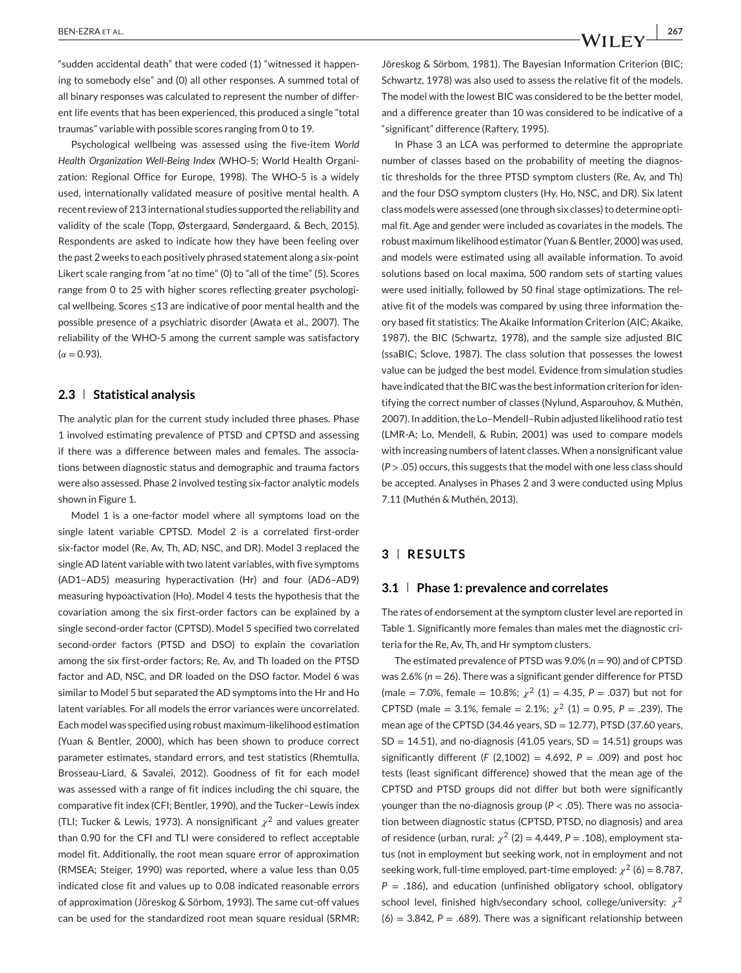"sudden accidental death" that were coded (1) "witnessed it happening to somebody else" and (0) all other responses. A summed total of all binary responses was calculated to represent the number of different life events that has been experienced, this produced a single "total traumas" variable with possible scores ranging from 0 to 19.

Psychological wellbeing was assessed using the five-item *World Health Organization Well-Being Index (*WHO-5; World Health Organization: Regional Office for Europe, 1998). The WHO-5 is a widely used, internationally validated measure of positive mental health. A recent review of 213 international studies supported the reliability and validity of the scale (Topp, Østergaard, Søndergaard, & Bech, 2015). Respondents are asked to indicate how they have been feeling over the past 2 weeks to each positively phrased statement along a six-point Likert scale ranging from "at no time" (0) to "all of the time" (5). Scores range from 0 to 25 with higher scores reflecting greater psychological wellbeing. Scores ≤13 are indicative of poor mental health and the possible presence of a psychiatric disorder (Awata et al., 2007). The reliability of the WHO-5 among the current sample was satisfactory  $(\alpha = 0.93)$ .

## **2.3 Statistical analysis**

The analytic plan for the current study included three phases. Phase 1 involved estimating prevalence of PTSD and CPTSD and assessing if there was a difference between males and females. The associations between diagnostic status and demographic and trauma factors were also assessed. Phase 2 involved testing six-factor analytic models shown in Figure 1.

Model 1 is a one-factor model where all symptoms load on the single latent variable CPTSD. Model 2 is a correlated first-order six-factor model (Re, Av, Th, AD, NSC, and DR). Model 3 replaced the single AD latent variable with two latent variables, with five symptoms (AD1–AD5) measuring hyperactivation (Hr) and four (AD6–AD9) measuring hypoactivation (Ho). Model 4 tests the hypothesis that the covariation among the six first-order factors can be explained by a single second-order factor (CPTSD). Model 5 specified two correlated second-order factors (PTSD and DSO) to explain the covariation among the six first-order factors; Re, Av, and Th loaded on the PTSD factor and AD, NSC, and DR loaded on the DSO factor. Model 6 was similar to Model 5 but separated the AD symptoms into the Hr and Ho latent variables. For all models the error variances were uncorrelated. Each model was specified using robust maximum-likelihood estimation (Yuan & Bentler, 2000), which has been shown to produce correct parameter estimates, standard errors, and test statistics (Rhemtulla, Brosseau-Liard, & Savalei, 2012). Goodness of fit for each model was assessed with a range of fit indices including the chi square, the comparative fit index (CFI; Bentler, 1990), and the Tucker–Lewis index (TLI; Tucker & Lewis, 1973). A nonsignificant  $\chi^2$  and values greater than 0.90 for the CFI and TLI were considered to reflect acceptable model fit. Additionally, the root mean square error of approximation (RMSEA; Steiger, 1990) was reported, where a value less than 0.05 indicated close fit and values up to 0.08 indicated reasonable errors of approximation (Jöreskog & Sörbom, 1993). The same cut-off values can be used for the standardized root mean square residual (SRMR;

In Phase 3 an LCA was performed to determine the appropriate number of classes based on the probability of meeting the diagnostic thresholds for the three PTSD symptom clusters (Re, Av, and Th) and the four DSO symptom clusters (Hy, Ho, NSC, and DR). Six latent class models were assessed (one through six classes) to determine optimal fit. Age and gender were included as covariates in the models. The robust maximum likelihood estimator (Yuan & Bentler, 2000) was used, and models were estimated using all available information. To avoid solutions based on local maxima, 500 random sets of starting values were used initially, followed by 50 final stage optimizations. The relative fit of the models was compared by using three information theory based fit statistics: The Akaike Information Criterion (AIC; Akaike, 1987), the BIC (Schwartz, 1978), and the sample size adjusted BIC (ssaBIC; Sclove, 1987). The class solution that possesses the lowest value can be judged the best model. Evidence from simulation studies have indicated that the BIC was the best information criterion for identifying the correct number of classes (Nylund, Asparouhov, & Muthén, 2007). In addition, the Lo–Mendell–Rubin adjusted likelihood ratio test (LMR-A; Lo, Mendell, & Rubin, 2001) was used to compare models with increasing numbers of latent classes. When a nonsignificant value (*P >* .05) occurs, this suggests that the model with one less class should be accepted. Analyses in Phases 2 and 3 were conducted using Mplus 7.11 (Muthén & Muthén, 2013).

## **3 RESULTS**

#### **3.1 Phase 1: prevalence and correlates**

The rates of endorsement at the symptom cluster level are reported in Table 1. Significantly more females than males met the diagnostic criteria for the Re, Av, Th, and Hr symptom clusters.

The estimated prevalence of PTSD was 9.0% (*n* = 90) and of CPTSD was 2.6% (*n* = 26). There was a significant gender difference for PTSD (male = 7.0%, female = 10.8%;  $\chi^2$  (1) = 4.35, P = .037) but not for CPTSD (male = 3.1%, female = 2.1%;  $\chi^2$  (1) = 0.95, P = .239). The mean age of the CPTSD (34.46 years,  $SD = 12.77$ ), PTSD (37.60 years,  $SD = 14.51$ ), and no-diagnosis (41.05 years,  $SD = 14.51$ ) groups was significantly different ( $F$  (2,1002) = 4.692,  $P = .009$ ) and post hoc tests (least significant difference) showed that the mean age of the CPTSD and PTSD groups did not differ but both were significantly younger than the no-diagnosis group (*P <* .05). There was no association between diagnostic status (CPTSD, PTSD, no diagnosis) and area of residence (urban, rural:  $\chi^2$  (2) = 4.449, P = .108), employment status (not in employment but seeking work, not in employment and not seeking work, full-time employed, part-time employed:  $\chi^2$  (6) = 8.787, *P* = .186), and education (unfinished obligatory school, obligatory school level, finished high/secondary school, college/university:  $\chi^2$  $(6) = 3.842$ ,  $P = .689$ ). There was a significant relationship between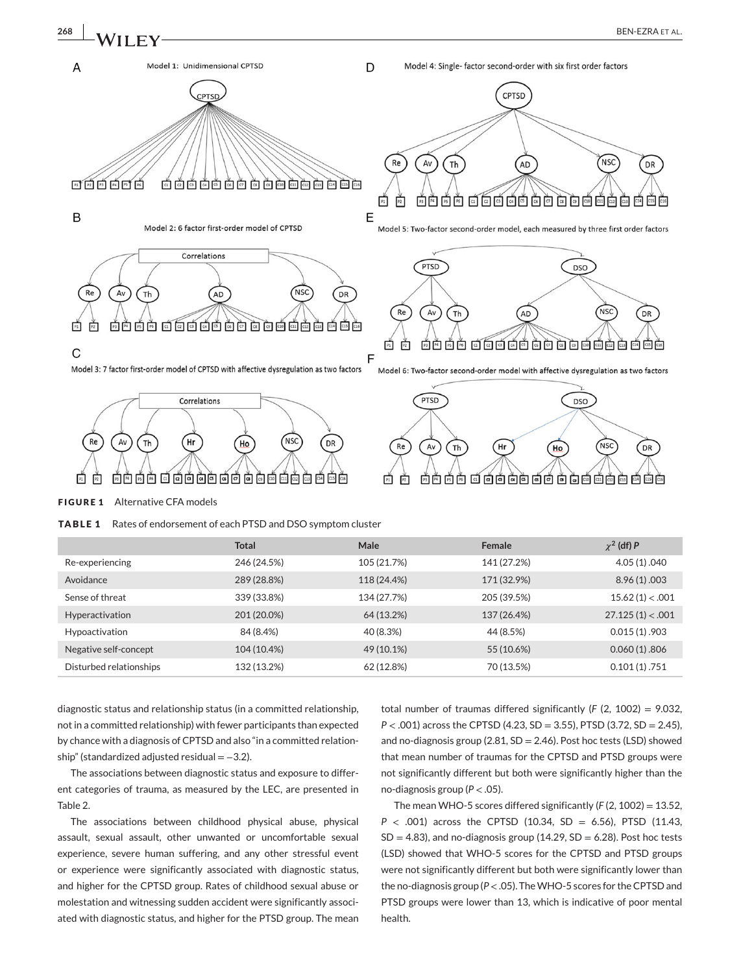

DR



D



Model 1: Unidimensional CPTSD

 $\overline{A}$ 



**FIGURE 1** Alternative CFA models

**TABLE 1** Rates of endorsement of each PTSD and DSO symptom cluster

|                         | <b>Total</b> | Male        | Female      | $\chi^2$ (df) P  |
|-------------------------|--------------|-------------|-------------|------------------|
| Re-experiencing         | 246 (24.5%)  | 105 (21.7%) | 141 (27.2%) | 4.05 (1) .040    |
| Avoidance               | 289 (28.8%)  | 118 (24.4%) | 171 (32.9%) | 8.96(1) .003     |
| Sense of threat         | 339 (33.8%)  | 134 (27.7%) | 205 (39.5%) | 15.62(1) < .001  |
| Hyperactivation         | 201 (20.0%)  | 64 (13.2%)  | 137 (26.4%) | 27.125(1) < .001 |
| Hypoactivation          | 84 (8.4%)    | 40 (8.3%)   | 44 (8.5%)   | 0.015(1).903     |
| Negative self-concept   | 104 (10.4%)  | 49 (10.1%)  | 55 (10.6%)  | 0.060(1) .806    |
| Disturbed relationships | 132 (13.2%)  | 62 (12.8%)  | 70 (13.5%)  | 0.101(1) .751    |

diagnostic status and relationship status (in a committed relationship, not in a committed relationship) with fewer participants than expected by chance with a diagnosis of CPTSD and also "in a committed relationship" (standardized adjusted residual = −3.2).

The associations between diagnostic status and exposure to different categories of trauma, as measured by the LEC, are presented in Table 2.

The associations between childhood physical abuse, physical assault, sexual assault, other unwanted or uncomfortable sexual experience, severe human suffering, and any other stressful event or experience were significantly associated with diagnostic status, and higher for the CPTSD group. Rates of childhood sexual abuse or molestation and witnessing sudden accident were significantly associated with diagnostic status, and higher for the PTSD group. The mean total number of traumas differed significantly (*F* (2, 1002) = 9.032, *P <* .001) across the CPTSD (4.23, SD = 3.55), PTSD (3.72, SD = 2.45), and no-diagnosis group (2.81, SD = 2.46). Post hoc tests (LSD) showed that mean number of traumas for the CPTSD and PTSD groups were not significantly different but both were significantly higher than the no-diagnosis group (*P <* .05).

The mean WHO-5 scores differed significantly (*F* (2, 1002) = 13.52, *P <* .001) across the CPTSD (10.34, SD = 6.56), PTSD (11.43,  $SD = 4.83$ ), and no-diagnosis group (14.29,  $SD = 6.28$ ). Post hoc tests (LSD) showed that WHO-5 scores for the CPTSD and PTSD groups were not significantly different but both were significantly lower than the no-diagnosis group (*P<*.05). TheWHO-5 scores for the CPTSD and PTSD groups were lower than 13, which is indicative of poor mental health.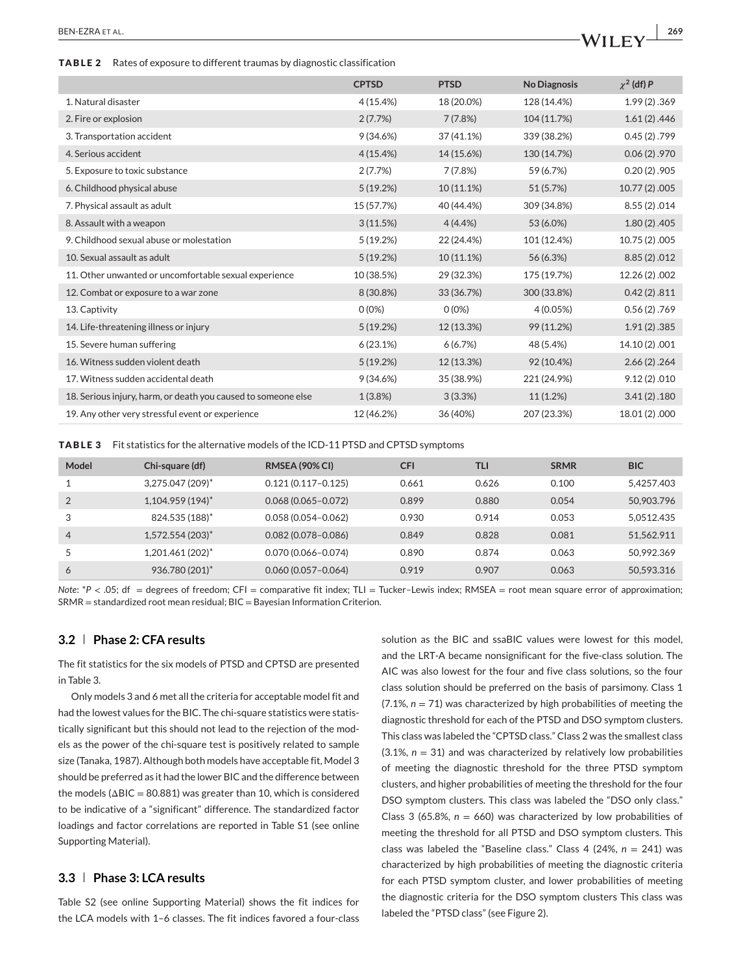**TABLE 2** Rates of exposure to different traumas by diagnostic classification

|                                                               | <b>CPTSD</b> | <b>PTSD</b> | <b>No Diagnosis</b> | $\chi^2$ (df) P |
|---------------------------------------------------------------|--------------|-------------|---------------------|-----------------|
| 1. Natural disaster                                           | 4(15.4%)     | 18 (20.0%)  | 128 (14.4%)         | 1.99(2) .369    |
| 2. Fire or explosion                                          | 2(7.7%)      | 7(7.8%)     | 104 (11.7%)         | 1.61(2) .446    |
| 3. Transportation accident                                    | 9(34.6%)     | 37 (41.1%)  | 339 (38.2%)         | 0.45(2) .799    |
| 4. Serious accident                                           | 4(15.4%)     | 14 (15.6%)  | 130 (14.7%)         | 0.06(2) .970    |
| 5. Exposure to toxic substance                                | 2(7.7%)      | 7(7.8%)     | 59 (6.7%)           | $0.20(2)$ .905  |
| 6. Childhood physical abuse                                   | 5(19.2%)     | 10 (11.1%)  | 51 (5.7%)           | 10.77 (2) .005  |
| 7. Physical assault as adult                                  | 15 (57.7%)   | 40 (44.4%)  | 309 (34.8%)         | 8.55(2) .014    |
| 8. Assault with a weapon                                      | 3(11.5%)     | 4(4.4%      | 53 (6.0%)           | $1.80(2)$ .405  |
| 9. Childhood sexual abuse or molestation                      | 5(19.2%)     | 22 (24.4%)  | 101 (12.4%)         | 10.75 (2) .005  |
| 10. Sexual assault as adult                                   | 5(19.2%)     | 10 (11.1%)  | 56 (6.3%)           | 8.85(2) .012    |
| 11. Other unwanted or uncomfortable sexual experience         | 10 (38.5%)   | 29 (32.3%)  | 175 (19.7%)         | 12.26 (2) .002  |
| 12. Combat or exposure to a war zone                          | 8 (30.8%)    | 33 (36.7%)  | 300 (33.8%)         | 0.42(2).811     |
| 13. Captivity                                                 | $0(0\%)$     | $0(0\%)$    | 4(0.05%)            | 0.56(2) .769    |
| 14. Life-threatening illness or injury                        | 5(19.2%)     | 12 (13.3%)  | 99 (11.2%)          | 1.91(2) .385    |
| 15. Severe human suffering                                    | 6(23.1%)     | 6(6.7%)     | 48 (5.4%)           | 14.10 (2) .001  |
| 16. Witness sudden violent death                              | 5(19.2%)     | 12 (13.3%)  | 92 (10.4%)          | 2.66(2) .264    |
| 17. Witness sudden accidental death                           | 9(34.6%)     | 35 (38.9%)  | 221 (24.9%)         | 9.12(2) .010    |
| 18. Serious injury, harm, or death you caused to someone else | 1(3.8%)      | 3(3.3%)     | 11(1.2%)            | 3.41(2) .180    |
| 19. Any other very stressful event or experience              | 12 (46.2%)   | 36 (40%)    | 207 (23.3%)         | 18.01 (2) .000  |

**TABLE 3** Fit statistics for the alternative models of the ICD-11 PTSD and CPTSD symptoms

| Model          | Chi-square (df)      | <b>RMSEA (90% CI)</b>  | <b>CFI</b> | <b>TLI</b> | <b>SRMR</b> | <b>BIC</b> |
|----------------|----------------------|------------------------|------------|------------|-------------|------------|
|                | $3,275.047(209)^*$   | $0.121(0.117 - 0.125)$ | 0.661      | 0.626      | 0.100       | 5.4257.403 |
|                | $1,104.959(194)^{*}$ | $0.068(0.065 - 0.072)$ | 0.899      | 0.880      | 0.054       | 50,903,796 |
| 3              | 824.535 (188)*       | $0.058(0.054 - 0.062)$ | 0.930      | 0.914      | 0.053       | 5.0512.435 |
| $\overline{4}$ | $1,572.554(203)^{*}$ | $0.082(0.078 - 0.086)$ | 0.849      | 0.828      | 0.081       | 51.562.911 |
|                | $1,201.461(202)^{*}$ | $0.070(0.066 - 0.074)$ | 0.890      | 0.874      | 0.063       | 50.992.369 |
| 6              | 936.780 (201)*       | $0.060(0.057 - 0.064)$ | 0.919      | 0.907      | 0.063       | 50.593.316 |

*Note*: \**P* < .05; df = degrees of freedom; CFI = comparative fit index; TLI = Tucker–Lewis index; RMSEA = root mean square error of approximation; SRMR = standardized root mean residual; BIC = Bayesian Information Criterion.

## **3.2 Phase 2: CFA results**

The fit statistics for the six models of PTSD and CPTSD are presented in Table 3.

Only models 3 and 6 met all the criteria for acceptable model fit and had the lowest values for the BIC. The chi-square statistics were statistically significant but this should not lead to the rejection of the models as the power of the chi-square test is positively related to sample size (Tanaka, 1987). Although both models have acceptable fit, Model 3 should be preferred as it had the lower BIC and the difference between the models ( $\Delta BIC = 80.881$ ) was greater than 10, which is considered to be indicative of a "significant" difference. The standardized factor loadings and factor correlations are reported in Table S1 (see online Supporting Material).

## **3.3 Phase 3: LCA results**

Table S2 (see online Supporting Material) shows the fit indices for the LCA models with 1–6 classes. The fit indices favored a four-class

solution as the BIC and ssaBIC values were lowest for this model, and the LRT-A became nonsignificant for the five-class solution. The AIC was also lowest for the four and five class solutions, so the four class solution should be preferred on the basis of parsimony. Class 1  $(7.1\%, n = 71)$  was characterized by high probabilities of meeting the diagnostic threshold for each of the PTSD and DSO symptom clusters. This class was labeled the "CPTSD class." Class 2 was the smallest class  $(3.1\%, n = 31)$  and was characterized by relatively low probabilities of meeting the diagnostic threshold for the three PTSD symptom clusters, and higher probabilities of meeting the threshold for the four DSO symptom clusters. This class was labeled the "DSO only class." Class 3 (65.8%,  $n = 660$ ) was characterized by low probabilities of meeting the threshold for all PTSD and DSO symptom clusters. This class was labeled the "Baseline class." Class 4 (24%, *n* = 241) was characterized by high probabilities of meeting the diagnostic criteria for each PTSD symptom cluster, and lower probabilities of meeting the diagnostic criteria for the DSO symptom clusters This class was labeled the "PTSD class" (see Figure 2).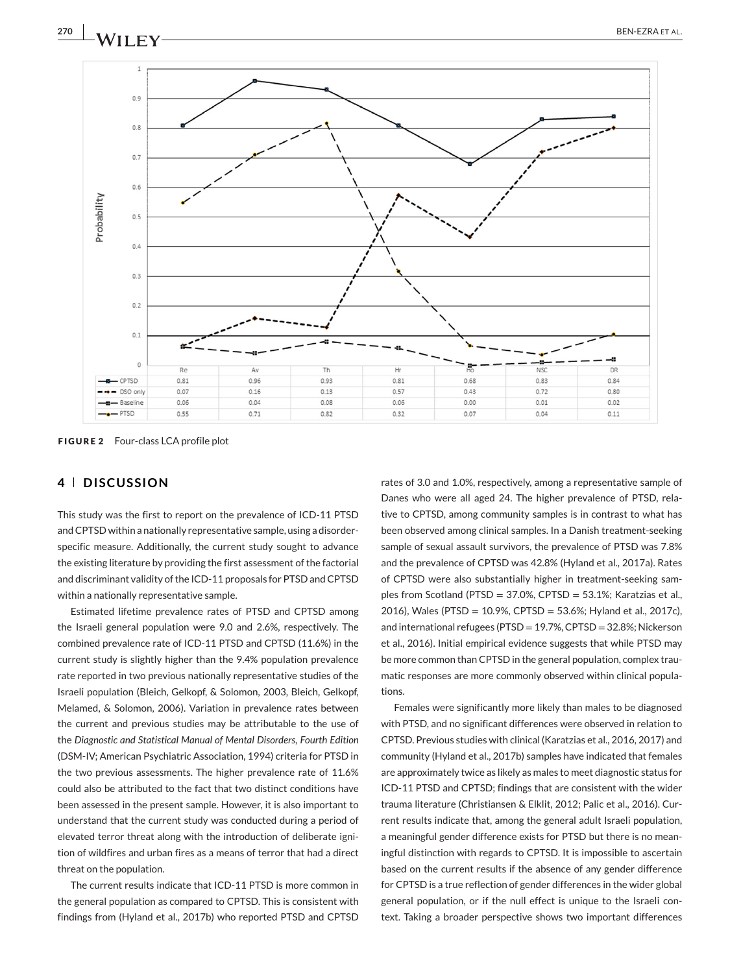

**FIGURE 2** Four-class LCA profile plot

### **4 DISCUSSION**

This study was the first to report on the prevalence of ICD-11 PTSD and CPTSD within a nationally representative sample, using a disorderspecific measure. Additionally, the current study sought to advance the existing literature by providing the first assessment of the factorial and discriminant validity of the ICD-11 proposals for PTSD and CPTSD within a nationally representative sample.

Estimated lifetime prevalence rates of PTSD and CPTSD among the Israeli general population were 9.0 and 2.6%, respectively. The combined prevalence rate of ICD-11 PTSD and CPTSD (11.6%) in the current study is slightly higher than the 9.4% population prevalence rate reported in two previous nationally representative studies of the Israeli population (Bleich, Gelkopf, & Solomon, 2003, Bleich, Gelkopf, Melamed, & Solomon, 2006). Variation in prevalence rates between the current and previous studies may be attributable to the use of the *Diagnostic and Statistical Manual of Mental Disorders, Fourth Edition* (DSM-IV; American Psychiatric Association, 1994) criteria for PTSD in the two previous assessments. The higher prevalence rate of 11.6% could also be attributed to the fact that two distinct conditions have been assessed in the present sample. However, it is also important to understand that the current study was conducted during a period of elevated terror threat along with the introduction of deliberate ignition of wildfires and urban fires as a means of terror that had a direct threat on the population.

The current results indicate that ICD-11 PTSD is more common in the general population as compared to CPTSD. This is consistent with findings from (Hyland et al., 2017b) who reported PTSD and CPTSD rates of 3.0 and 1.0%, respectively, among a representative sample of Danes who were all aged 24. The higher prevalence of PTSD, relative to CPTSD, among community samples is in contrast to what has been observed among clinical samples. In a Danish treatment-seeking sample of sexual assault survivors, the prevalence of PTSD was 7.8% and the prevalence of CPTSD was 42.8% (Hyland et al., 2017a). Rates of CPTSD were also substantially higher in treatment-seeking samples from Scotland (PTSD = 37.0%, CPTSD = 53.1%; Karatzias et al., 2016), Wales (PTSD = 10.9%, CPTSD = 53.6%; Hyland et al., 2017c), and international refugees (PTSD = 19.7%, CPTSD = 32.8%; Nickerson et al., 2016). Initial empirical evidence suggests that while PTSD may be more common than CPTSD in the general population, complex traumatic responses are more commonly observed within clinical populations.

Females were significantly more likely than males to be diagnosed with PTSD, and no significant differences were observed in relation to CPTSD. Previous studies with clinical (Karatzias et al., 2016, 2017) and community (Hyland et al., 2017b) samples have indicated that females are approximately twice as likely as males to meet diagnostic status for ICD-11 PTSD and CPTSD; findings that are consistent with the wider trauma literature (Christiansen & Elklit, 2012; Palic et al., 2016). Current results indicate that, among the general adult Israeli population, a meaningful gender difference exists for PTSD but there is no meaningful distinction with regards to CPTSD. It is impossible to ascertain based on the current results if the absence of any gender difference for CPTSD is a true reflection of gender differences in the wider global general population, or if the null effect is unique to the Israeli context. Taking a broader perspective shows two important differences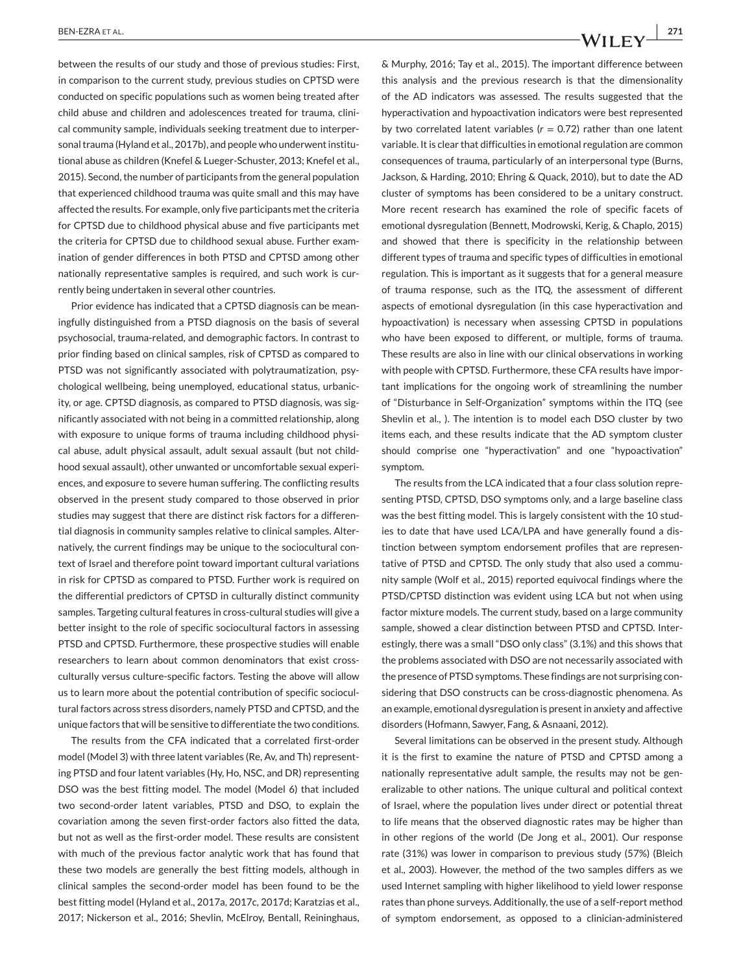between the results of our study and those of previous studies: First, in comparison to the current study, previous studies on CPTSD were conducted on specific populations such as women being treated after child abuse and children and adolescences treated for trauma, clinical community sample, individuals seeking treatment due to interpersonal trauma (Hyland et al., 2017b), and people who underwent institutional abuse as children (Knefel & Lueger-Schuster, 2013; Knefel et al., 2015). Second, the number of participants from the general population that experienced childhood trauma was quite small and this may have affected the results. For example, only five participants met the criteria for CPTSD due to childhood physical abuse and five participants met the criteria for CPTSD due to childhood sexual abuse. Further examination of gender differences in both PTSD and CPTSD among other nationally representative samples is required, and such work is currently being undertaken in several other countries.

Prior evidence has indicated that a CPTSD diagnosis can be meaningfully distinguished from a PTSD diagnosis on the basis of several psychosocial, trauma-related, and demographic factors. In contrast to prior finding based on clinical samples, risk of CPTSD as compared to PTSD was not significantly associated with polytraumatization, psychological wellbeing, being unemployed, educational status, urbanicity, or age. CPTSD diagnosis, as compared to PTSD diagnosis, was significantly associated with not being in a committed relationship, along with exposure to unique forms of trauma including childhood physical abuse, adult physical assault, adult sexual assault (but not childhood sexual assault), other unwanted or uncomfortable sexual experiences, and exposure to severe human suffering. The conflicting results observed in the present study compared to those observed in prior studies may suggest that there are distinct risk factors for a differential diagnosis in community samples relative to clinical samples. Alternatively, the current findings may be unique to the sociocultural context of Israel and therefore point toward important cultural variations in risk for CPTSD as compared to PTSD. Further work is required on the differential predictors of CPTSD in culturally distinct community samples. Targeting cultural features in cross-cultural studies will give a better insight to the role of specific sociocultural factors in assessing PTSD and CPTSD. Furthermore, these prospective studies will enable researchers to learn about common denominators that exist crossculturally versus culture-specific factors. Testing the above will allow us to learn more about the potential contribution of specific sociocultural factors across stress disorders, namely PTSD and CPTSD, and the unique factors that will be sensitive to differentiate the two conditions.

The results from the CFA indicated that a correlated first-order model (Model 3) with three latent variables (Re, Av, and Th) representing PTSD and four latent variables (Hy, Ho, NSC, and DR) representing DSO was the best fitting model. The model (Model 6) that included two second-order latent variables, PTSD and DSO, to explain the covariation among the seven first-order factors also fitted the data, but not as well as the first-order model. These results are consistent with much of the previous factor analytic work that has found that these two models are generally the best fitting models, although in clinical samples the second-order model has been found to be the best fitting model (Hyland et al., 2017a, 2017c, 2017d; Karatzias et al., 2017; Nickerson et al., 2016; Shevlin, McElroy, Bentall, Reininghaus,

& Murphy, 2016; Tay et al., 2015). The important difference between this analysis and the previous research is that the dimensionality of the AD indicators was assessed. The results suggested that the hyperactivation and hypoactivation indicators were best represented by two correlated latent variables  $(r = 0.72)$  rather than one latent variable. It is clear that difficulties in emotional regulation are common consequences of trauma, particularly of an interpersonal type (Burns, Jackson, & Harding, 2010; Ehring & Quack, 2010), but to date the AD cluster of symptoms has been considered to be a unitary construct. More recent research has examined the role of specific facets of emotional dysregulation (Bennett, Modrowski, Kerig, & Chaplo, 2015) and showed that there is specificity in the relationship between different types of trauma and specific types of difficulties in emotional regulation. This is important as it suggests that for a general measure of trauma response, such as the ITQ, the assessment of different aspects of emotional dysregulation (in this case hyperactivation and hypoactivation) is necessary when assessing CPTSD in populations who have been exposed to different, or multiple, forms of trauma. These results are also in line with our clinical observations in working with people with CPTSD. Furthermore, these CFA results have important implications for the ongoing work of streamlining the number of "Disturbance in Self-Organization" symptoms within the ITQ (see Shevlin et al., ). The intention is to model each DSO cluster by two items each, and these results indicate that the AD symptom cluster should comprise one "hyperactivation" and one "hypoactivation" symptom.

The results from the LCA indicated that a four class solution representing PTSD, CPTSD, DSO symptoms only, and a large baseline class was the best fitting model. This is largely consistent with the 10 studies to date that have used LCA/LPA and have generally found a distinction between symptom endorsement profiles that are representative of PTSD and CPTSD. The only study that also used a community sample (Wolf et al., 2015) reported equivocal findings where the PTSD/CPTSD distinction was evident using LCA but not when using factor mixture models. The current study, based on a large community sample, showed a clear distinction between PTSD and CPTSD. Interestingly, there was a small "DSO only class" (3.1%) and this shows that the problems associated with DSO are not necessarily associated with the presence of PTSD symptoms. These findings are not surprising considering that DSO constructs can be cross-diagnostic phenomena. As an example, emotional dysregulation is present in anxiety and affective disorders (Hofmann, Sawyer, Fang, & Asnaani, 2012).

Several limitations can be observed in the present study. Although it is the first to examine the nature of PTSD and CPTSD among a nationally representative adult sample, the results may not be generalizable to other nations. The unique cultural and political context of Israel, where the population lives under direct or potential threat to life means that the observed diagnostic rates may be higher than in other regions of the world (De Jong et al., 2001). Our response rate (31%) was lower in comparison to previous study (57%) (Bleich et al., 2003). However, the method of the two samples differs as we used Internet sampling with higher likelihood to yield lower response rates than phone surveys. Additionally, the use of a self-report method of symptom endorsement, as opposed to a clinician-administered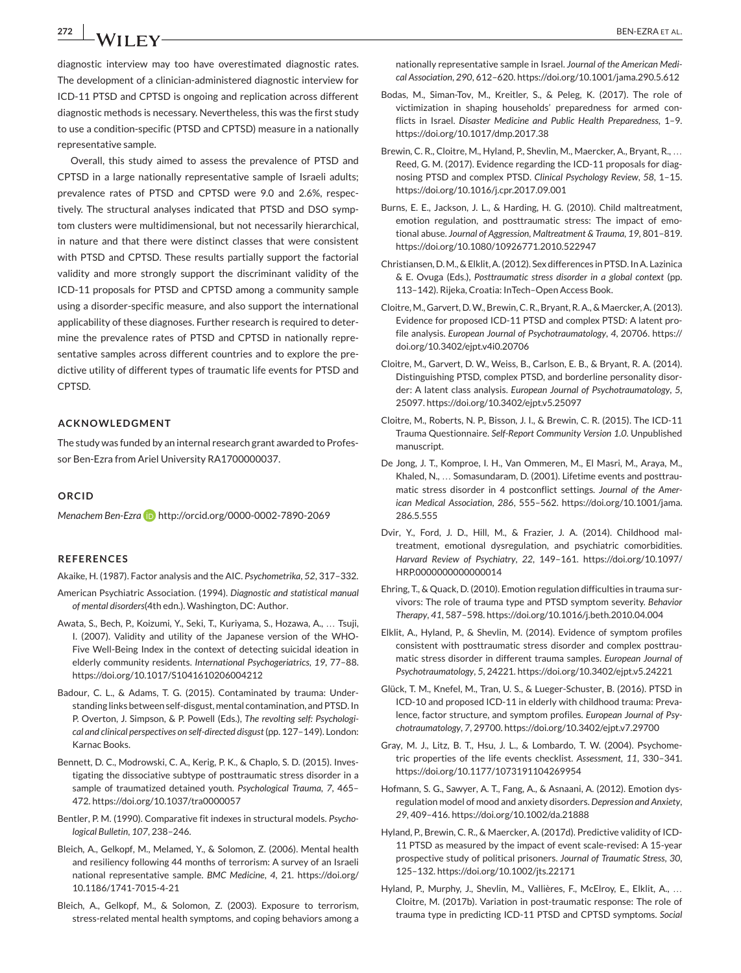**272** BEN-EZRA ET AL.

diagnostic interview may too have overestimated diagnostic rates. The development of a clinician-administered diagnostic interview for ICD-11 PTSD and CPTSD is ongoing and replication across different diagnostic methods is necessary. Nevertheless, this was the first study to use a condition-specific (PTSD and CPTSD) measure in a nationally representative sample.

Overall, this study aimed to assess the prevalence of PTSD and CPTSD in a large nationally representative sample of Israeli adults; prevalence rates of PTSD and CPTSD were 9.0 and 2.6%, respectively. The structural analyses indicated that PTSD and DSO symptom clusters were multidimensional, but not necessarily hierarchical, in nature and that there were distinct classes that were consistent with PTSD and CPTSD. These results partially support the factorial validity and more strongly support the discriminant validity of the ICD-11 proposals for PTSD and CPTSD among a community sample using a disorder-specific measure, and also support the international applicability of these diagnoses. Further research is required to determine the prevalence rates of PTSD and CPTSD in nationally representative samples across different countries and to explore the predictive utility of different types of traumatic life events for PTSD and CPTSD.

#### **ACKNOWLEDGMENT**

The study was funded by an internal research grant awarded to Professor Ben-Ezra from Ariel University RA1700000037.

#### **ORCID**

*Menachem Ben-Ezra* <http://orcid.org/0000-0002-7890-2069>

#### **REFERENCES**

Akaike, H. (1987). Factor analysis and the AIC. *Psychometrika*, *52*, 317–332.

- American Psychiatric Association. (1994). *Diagnostic and statistical manual of mental disorders*(4th edn.). Washington, DC: Author.
- Awata, S., Bech, P., Koizumi, Y., Seki, T., Kuriyama, S., Hozawa, A., … Tsuji, I. (2007). Validity and utility of the Japanese version of the WHO-Five Well-Being Index in the context of detecting suicidal ideation in elderly community residents. *International Psychogeriatrics*, *19*, 77–88. <https://doi.org/10.1017/S1041610206004212>
- Badour, C. L., & Adams, T. G. (2015). Contaminated by trauma: Understanding links between self-disgust, mental contamination, and PTSD. In P. Overton, J. Simpson, & P. Powell (Eds.), *The revolting self: Psychological and clinical perspectives on self-directed disgust*(pp. 127–149). London: Karnac Books.
- Bennett, D. C., Modrowski, C. A., Kerig, P. K., & Chaplo, S. D. (2015). Investigating the dissociative subtype of posttraumatic stress disorder in a sample of traumatized detained youth. *Psychological Trauma*, *7*, 465– 472.<https://doi.org/10.1037/tra0000057>
- Bentler, P. M. (1990). Comparative fit indexes in structural models. *Psychological Bulletin*, *107*, 238–246.
- Bleich, A., Gelkopf, M., Melamed, Y., & Solomon, Z. (2006). Mental health and resiliency following 44 months of terrorism: A survey of an Israeli national representative sample. *BMC Medicine*, *4*, 21. [https://doi.org/](https://doi.org/10.1186/1741-7015-4-21) [10.1186/1741-7015-4-21](https://doi.org/10.1186/1741-7015-4-21)
- Bleich, A., Gelkopf, M., & Solomon, Z. (2003). Exposure to terrorism, stress-related mental health symptoms, and coping behaviors among a

nationally representative sample in Israel. *Journal of the American Medical Association*, *290*, 612–620.<https://doi.org/10.1001/jama.290.5.612>

- Bodas, M., Siman-Tov, M., Kreitler, S., & Peleg, K. (2017). The role of victimization in shaping households' preparedness for armed conflicts in Israel. *Disaster Medicine and Public Health Preparedness*, 1–9. <https://doi.org/10.1017/dmp.2017.38>
- Brewin, C. R., Cloitre, M., Hyland, P., Shevlin, M., Maercker, A., Bryant, R., … Reed, G. M. (2017). Evidence regarding the ICD-11 proposals for diagnosing PTSD and complex PTSD. *Clinical Psychology Review*, *58*, 1–15. <https://doi.org/10.1016/j.cpr.2017.09.001>
- Burns, E. E., Jackson, J. L., & Harding, H. G. (2010). Child maltreatment, emotion regulation, and posttraumatic stress: The impact of emotional abuse. *Journal of Aggression, Maltreatment & Trauma*, *19*, 801–819. <https://doi.org/10.1080/10926771.2010.522947>
- Christiansen, D.M., & Elklit, A. (2012). Sex differences in PTSD. In A. Lazinica & E. Ovuga (Eds.), *Posttraumatic stress disorder in a global context* (pp. 113–142). Rijeka, Croatia: InTech–Open Access Book.
- Cloitre, M., Garvert, D.W., Brewin, C. R., Bryant, R. A., & Maercker, A. (2013). Evidence for proposed ICD-11 PTSD and complex PTSD: A latent profile analysis. *European Journal of Psychotraumatology*, *4*, 20706. [https://](https://doi.org/10.3402/ejpt.v4i0.20706) [doi.org/10.3402/ejpt.v4i0.20706](https://doi.org/10.3402/ejpt.v4i0.20706)
- Cloitre, M., Garvert, D. W., Weiss, B., Carlson, E. B., & Bryant, R. A. (2014). Distinguishing PTSD, complex PTSD, and borderline personality disorder: A latent class analysis. *European Journal of Psychotraumatology*, *5*, 25097.<https://doi.org/10.3402/ejpt.v5.25097>
- Cloitre, M., Roberts, N. P., Bisson, J. I., & Brewin, C. R. (2015). The ICD-11 Trauma Questionnaire. *Self-Report Community Version 1.0*. Unpublished manuscript.
- De Jong, J. T., Komproe, I. H., Van Ommeren, M., El Masri, M., Araya, M., Khaled, N., … Somasundaram, D. (2001). Lifetime events and posttraumatic stress disorder in 4 postconflict settings. *Journal of the American Medical Association*, *286*, 555–562. [https://doi.org/10.1001/jama.](https://doi.org/10.1001/jama.286.5.555) [286.5.555](https://doi.org/10.1001/jama.286.5.555)
- Dvir, Y., Ford, J. D., Hill, M., & Frazier, J. A. (2014). Childhood maltreatment, emotional dysregulation, and psychiatric comorbidities. *Harvard Review of Psychiatry*, *22*, 149–161. [https://doi.org/10.1097/](https://doi.org/10.1097/HRP.0000000000000014) [HRP.0000000000000014](https://doi.org/10.1097/HRP.0000000000000014)
- Ehring, T., & Quack, D. (2010). Emotion regulation difficulties in trauma survivors: The role of trauma type and PTSD symptom severity. *Behavior Therapy*, *41*, 587–598.<https://doi.org/10.1016/j.beth.2010.04.004>
- Elklit, A., Hyland, P., & Shevlin, M. (2014). Evidence of symptom profiles consistent with posttraumatic stress disorder and complex posttraumatic stress disorder in different trauma samples. *European Journal of Psychotraumatology*, *5*, 24221.<https://doi.org/10.3402/ejpt.v5.24221>
- Glück, T. M., Knefel, M., Tran, U. S., & Lueger-Schuster, B. (2016). PTSD in ICD-10 and proposed ICD-11 in elderly with childhood trauma: Prevalence, factor structure, and symptom profiles. *European Journal of Psychotraumatology*, *7*, 29700[. https://doi.org/10.3402/ejpt.v7.29700](https://doi.org/10.3402/ejpt.v7.29700)
- Gray, M. J., Litz, B. T., Hsu, J. L., & Lombardo, T. W. (2004). Psychometric properties of the life events checklist. *Assessment*, *11*, 330–341. <https://doi.org/10.1177/1073191104269954>
- Hofmann, S. G., Sawyer, A. T., Fang, A., & Asnaani, A. (2012). Emotion dysregulation model of mood and anxiety disorders. *Depression and Anxiety*, *29*, 409–416.<https://doi.org/10.1002/da.21888>
- Hyland, P., Brewin, C. R., & Maercker, A. (2017d). Predictive validity of ICD-11 PTSD as measured by the impact of event scale-revised: A 15-year prospective study of political prisoners. *Journal of Traumatic Stress*, *30*, 125–132[. https://doi.org/10.1002/jts.22171](https://doi.org/10.1002/jts.22171)
- Hyland, P., Murphy, J., Shevlin, M., Vallières, F., McElroy, E., Elklit, A., … Cloitre, M. (2017b). Variation in post-traumatic response: The role of trauma type in predicting ICD-11 PTSD and CPTSD symptoms. *Social*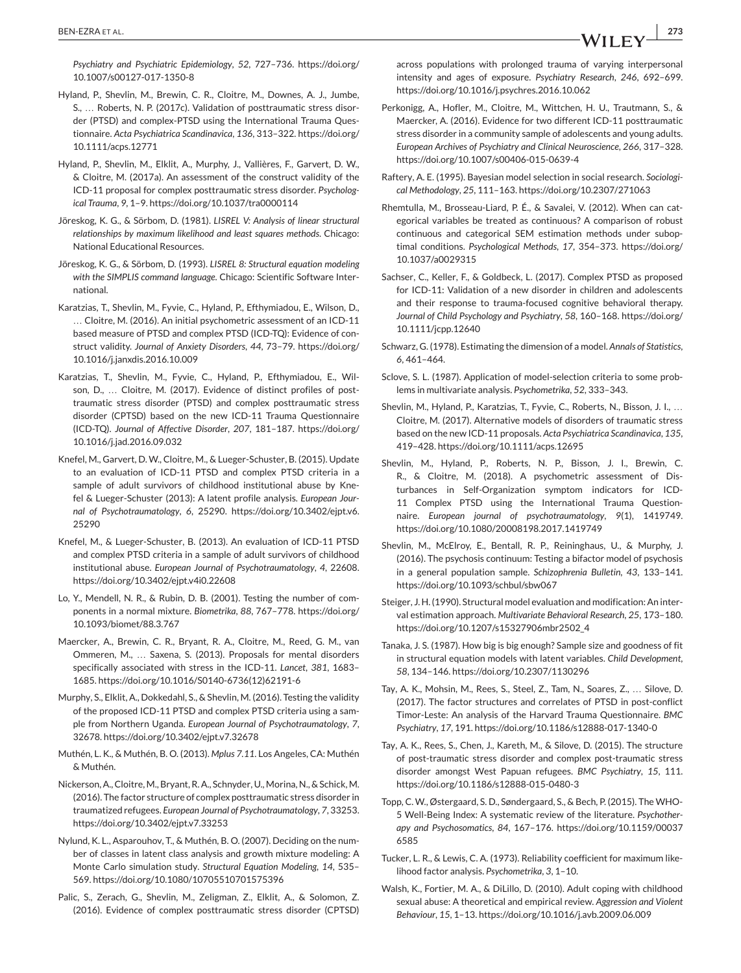*Psychiatry and Psychiatric Epidemiology*, *52*, 727–736. [https://doi.org/](https://doi.org/10.1007/s00127-017-1350-8) [10.1007/s00127-017-1350-8](https://doi.org/10.1007/s00127-017-1350-8)

- Hyland, P., Shevlin, M., Brewin, C. R., Cloitre, M., Downes, A. J., Jumbe, S., … Roberts, N. P. (2017c). Validation of posttraumatic stress disorder (PTSD) and complex-PTSD using the International Trauma Questionnaire. *Acta Psychiatrica Scandinavica*, *136*, 313–322. [https://doi.org/](https://doi.org/10.1111/acps.12771) [10.1111/acps.12771](https://doi.org/10.1111/acps.12771)
- Hyland, P., Shevlin, M., Elklit, A., Murphy, J., Vallières, F., Garvert, D. W., & Cloitre, M. (2017a). An assessment of the construct validity of the ICD-11 proposal for complex posttraumatic stress disorder. *Psychological Trauma*, *9*, 1–9.<https://doi.org/10.1037/tra0000114>
- Jöreskog, K. G., & Sörbom, D. (1981). *LISREL V: Analysis of linear structural relationships by maximum likelihood and least squares methods*. Chicago: National Educational Resources.
- Jöreskog, K. G., & Sörbom, D. (1993). *LISREL 8: Structural equation modeling with the SIMPLIS command language*. Chicago: Scientific Software International.
- Karatzias, T., Shevlin, M., Fyvie, C., Hyland, P., Efthymiadou, E., Wilson, D., … Cloitre, M. (2016). An initial psychometric assessment of an ICD-11 based measure of PTSD and complex PTSD (ICD-TQ): Evidence of construct validity. *Journal of Anxiety Disorders*, *44*, 73–79. [https://doi.org/](https://doi.org/10.1016/j.janxdis.2016.10.009) [10.1016/j.janxdis.2016.10.009](https://doi.org/10.1016/j.janxdis.2016.10.009)
- Karatzias, T., Shevlin, M., Fyvie, C., Hyland, P., Efthymiadou, E., Wilson, D., ... Cloitre, M. (2017). Evidence of distinct profiles of posttraumatic stress disorder (PTSD) and complex posttraumatic stress disorder (CPTSD) based on the new ICD-11 Trauma Questionnaire (ICD-TQ). *Journal of Affective Disorder*, *207*, 181–187. [https://doi.org/](https://doi.org/10.1016/j.jad.2016.09.032) [10.1016/j.jad.2016.09.032](https://doi.org/10.1016/j.jad.2016.09.032)
- Knefel, M., Garvert, D. W., Cloitre, M., & Lueger-Schuster, B. (2015). Update to an evaluation of ICD-11 PTSD and complex PTSD criteria in a sample of adult survivors of childhood institutional abuse by Knefel & Lueger-Schuster (2013): A latent profile analysis. *European Journal of Psychotraumatology*, *6*, 25290. [https://doi.org/10.3402/ejpt.v6.](https://doi.org/10.3402/ejpt.v6.25290) [25290](https://doi.org/10.3402/ejpt.v6.25290)
- Knefel, M., & Lueger-Schuster, B. (2013). An evaluation of ICD-11 PTSD and complex PTSD criteria in a sample of adult survivors of childhood institutional abuse. *European Journal of Psychotraumatology*, *4*, 22608. <https://doi.org/10.3402/ejpt.v4i0.22608>
- Lo, Y., Mendell, N. R., & Rubin, D. B. (2001). Testing the number of components in a normal mixture. *Biometrika*, *88*, 767–778. [https://doi.org/](https://doi.org/10.1093/biomet/88.3.767) [10.1093/biomet/88.3.767](https://doi.org/10.1093/biomet/88.3.767)
- Maercker, A., Brewin, C. R., Bryant, R. A., Cloitre, M., Reed, G. M., van Ommeren, M., … Saxena, S. (2013). Proposals for mental disorders specifically associated with stress in the ICD-11. *Lancet*, *381*, 1683– 1685. [https://doi.org/10.1016/S0140-6736\(12\)62191-6](https://doi.org/10.1016/S0140-6736\05012\05162191-6)
- Murphy, S., Elklit, A., Dokkedahl, S., & Shevlin, M. (2016). Testing the validity of the proposed ICD-11 PTSD and complex PTSD criteria using a sample from Northern Uganda. *European Journal of Psychotraumatology*, *7*, 32678.<https://doi.org/10.3402/ejpt.v7.32678>
- Muthén, L. K., & Muthén, B. O. (2013). *Mplus 7.11*. Los Angeles, CA: Muthén & Muthén.
- Nickerson, A., Cloitre, M., Bryant, R. A., Schnyder, U., Morina, N., & Schick, M. (2016). The factor structure of complex posttraumatic stress disorder in traumatized refugees. *European Journal of Psychotraumatology*, *7*, 33253. <https://doi.org/10.3402/ejpt.v7.33253>
- Nylund, K. L., Asparouhov, T., & Muthén, B. O. (2007). Deciding on the number of classes in latent class analysis and growth mixture modeling: A Monte Carlo simulation study. *Structural Equation Modeling*, *14*, 535– 569.<https://doi.org/10.1080/10705510701575396>
- Palic, S., Zerach, G., Shevlin, M., Zeligman, Z., Elklit, A., & Solomon, Z. (2016). Evidence of complex posttraumatic stress disorder (CPTSD)

across populations with prolonged trauma of varying interpersonal intensity and ages of exposure. *Psychiatry Research*, *246*, 692–699. <https://doi.org/10.1016/j.psychres.2016.10.062>

- Perkonigg, A., Hofler, M., Cloitre, M., Wittchen, H. U., Trautmann, S., & Maercker, A. (2016). Evidence for two different ICD-11 posttraumatic stress disorder in a community sample of adolescents and young adults. *European Archives of Psychiatry and Clinical Neuroscience*, *266*, 317–328. <https://doi.org/10.1007/s00406-015-0639-4>
- Raftery, A. E. (1995). Bayesian model selection in social research. *Sociological Methodology*, *25*, 111–163.<https://doi.org/10.2307/271063>
- Rhemtulla, M., Brosseau-Liard, P. É., & Savalei, V. (2012). When can categorical variables be treated as continuous? A comparison of robust continuous and categorical SEM estimation methods under suboptimal conditions. *Psychological Methods*, *17*, 354–373. [https://doi.org/](https://doi.org/10.1037/a0029315) [10.1037/a0029315](https://doi.org/10.1037/a0029315)
- Sachser, C., Keller, F., & Goldbeck, L. (2017). Complex PTSD as proposed for ICD-11: Validation of a new disorder in children and adolescents and their response to trauma-focused cognitive behavioral therapy. *Journal of Child Psychology and Psychiatry*, *58*, 160–168. [https://doi.org/](https://doi.org/10.1111/jcpp.12640) [10.1111/jcpp.12640](https://doi.org/10.1111/jcpp.12640)
- Schwarz, G. (1978). Estimating the dimension of a model. *Annals of Statistics*, *6*, 461–464.
- Sclove, S. L. (1987). Application of model-selection criteria to some problems in multivariate analysis. *Psychometrika*, *52*, 333–343.
- Shevlin, M., Hyland, P., Karatzias, T., Fyvie, C., Roberts, N., Bisson, J. I., … Cloitre, M. (2017). Alternative models of disorders of traumatic stress based on the new ICD-11 proposals. *Acta Psychiatrica Scandinavica*, *135*, 419–428.<https://doi.org/10.1111/acps.12695>
- Shevlin, M., Hyland, P., Roberts, N. P., Bisson, J. I., Brewin, C. R., & Cloitre, M. (2018). A psychometric assessment of Disturbances in Self-Organization symptom indicators for ICD-11 Complex PTSD using the International Trauma Questionnaire. *European journal of psychotraumatology*, *9*(1), 1419749. <https://doi.org/10.1080/20008198.2017.1419749>
- Shevlin, M., McElroy, E., Bentall, R. P., Reininghaus, U., & Murphy, J. (2016). The psychosis continuum: Testing a bifactor model of psychosis in a general population sample. *Schizophrenia Bulletin*, *43*, 133–141. <https://doi.org/10.1093/schbul/sbw067>
- Steiger, J. H. (1990). Structural model evaluation and modification: An interval estimation approach. *Multivariate Behavioral Research*, *25*, 173–180. [https://doi.org/10.1207/s15327906mbr2502\\_4](https://doi.org/10.1207/s15327906mbr2502_4)
- Tanaka, J. S. (1987). How big is big enough? Sample size and goodness of fit in structural equation models with latent variables. *Child Development*, *58*, 134–146.<https://doi.org/10.2307/1130296>
- Tay, A. K., Mohsin, M., Rees, S., Steel, Z., Tam, N., Soares, Z., … Silove, D. (2017). The factor structures and correlates of PTSD in post-conflict Timor-Leste: An analysis of the Harvard Trauma Questionnaire. *BMC Psychiatry*, *17*, 191.<https://doi.org/10.1186/s12888-017-1340-0>
- Tay, A. K., Rees, S., Chen, J., Kareth, M., & Silove, D. (2015). The structure of post-traumatic stress disorder and complex post-traumatic stress disorder amongst West Papuan refugees. *BMC Psychiatry*, *15*, 111. <https://doi.org/10.1186/s12888-015-0480-3>
- Topp, C. W., Østergaard, S. D., Søndergaard, S., & Bech, P. (2015). The WHO-5 Well-Being Index: A systematic review of the literature. *Psychotherapy and Psychosomatics*, *84*, 167–176. [https://doi.org/10.1159/00037](https://doi.org/10.1159/000376585) [6585](https://doi.org/10.1159/000376585)
- Tucker, L. R., & Lewis, C. A. (1973). Reliability coefficient for maximum likelihood factor analysis. *Psychometrika*, *3*, 1–10.
- Walsh, K., Fortier, M. A., & DiLillo, D. (2010). Adult coping with childhood sexual abuse: A theoretical and empirical review. *Aggression and Violent Behaviour*, *15*, 1–13.<https://doi.org/10.1016/j.avb.2009.06.009>